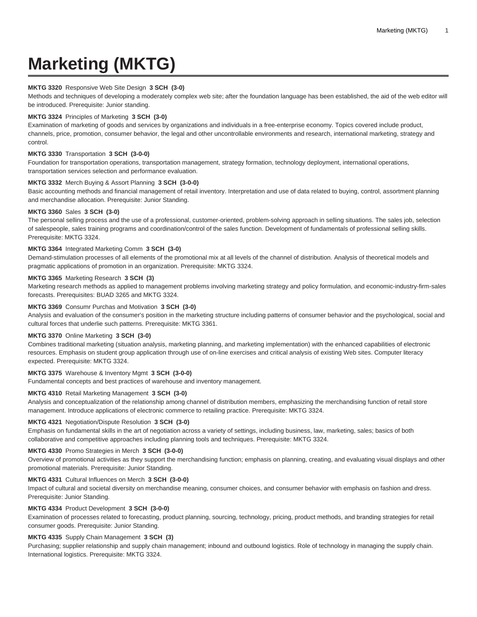# **Marketing (MKTG)**

## **MKTG 3320** Responsive Web Site Design **3 SCH (3-0)**

Methods and techniques of developing a moderately complex web site; after the foundation language has been established, the aid of the web editor will be introduced. Prerequisite: Junior standing.

#### **MKTG 3324** Principles of Marketing **3 SCH (3-0)**

Examination of marketing of goods and services by organizations and individuals in a free-enterprise economy. Topics covered include product, channels, price, promotion, consumer behavior, the legal and other uncontrollable environments and research, international marketing, strategy and control.

#### **MKTG 3330** Transportation **3 SCH (3-0-0)**

Foundation for transportation operations, transportation management, strategy formation, technology deployment, international operations, transportation services selection and performance evaluation.

## **MKTG 3332** Merch Buying & Assort Planning **3 SCH (3-0-0)**

Basic accounting methods and financial management of retail inventory. Interpretation and use of data related to buying, control, assortment planning and merchandise allocation. Prerequisite: Junior Standing.

#### **MKTG 3360** Sales **3 SCH (3-0)**

The personal selling process and the use of a professional, customer-oriented, problem-solving approach in selling situations. The sales job, selection of salespeople, sales training programs and coordination/control of the sales function. Development of fundamentals of professional selling skills. Prerequisite: MKTG 3324.

#### **MKTG 3364** Integrated Marketing Comm **3 SCH (3-0)**

Demand-stimulation processes of all elements of the promotional mix at all levels of the channel of distribution. Analysis of theoretical models and pragmatic applications of promotion in an organization. Prerequisite: MKTG 3324.

## **MKTG 3365** Marketing Research **3 SCH (3)**

Marketing research methods as applied to management problems involving marketing strategy and policy formulation, and economic-industry-firm-sales forecasts. Prerequisites: BUAD 3265 and MKTG 3324.

#### **MKTG 3369** Consumr Purchas and Motivation **3 SCH (3-0)**

Analysis and evaluation of the consumer's position in the marketing structure including patterns of consumer behavior and the psychological, social and cultural forces that underlie such patterns. Prerequisite: MKTG 3361.

#### **MKTG 3370** Online Marketing **3 SCH (3-0)**

Combines traditional marketing (situation analysis, marketing planning, and marketing implementation) with the enhanced capabilities of electronic resources. Emphasis on student group application through use of on-line exercises and critical analysis of existing Web sites. Computer literacy expected. Prerequisite: MKTG 3324.

## **MKTG 3375** Warehouse & Inventory Mgmt **3 SCH (3-0-0)**

Fundamental concepts and best practices of warehouse and inventory management.

## **MKTG 4310** Retail Marketing Management **3 SCH (3-0)**

Analysis and conceptualization of the relationship among channel of distribution members, emphasizing the merchandising function of retail store management. Introduce applications of electronic commerce to retailing practice. Prerequisite: MKTG 3324.

#### **MKTG 4321** Negotiation/Dispute Resolution **3 SCH (3-0)**

Emphasis on fundamental skills in the art of negotiation across a variety of settings, including business, law, marketing, sales; basics of both collaborative and competitive approaches including planning tools and techniques. Prerequisite: MKTG 3324.

#### **MKTG 4330** Promo Strategies in Merch **3 SCH (3-0-0)**

Overview of promotional activities as they support the merchandising function; emphasis on planning, creating, and evaluating visual displays and other promotional materials. Prerequisite: Junior Standing.

## **MKTG 4331** Cultural Influences on Merch **3 SCH (3-0-0)**

Impact of cultural and societal diversity on merchandise meaning, consumer choices, and consumer behavior with emphasis on fashion and dress. Prerequisite: Junior Standing.

#### **MKTG 4334** Product Development **3 SCH (3-0-0)**

Examination of processes related to forecasting, product planning, sourcing, technology, pricing, product methods, and branding strategies for retail consumer goods. Prerequisite: Junior Standing.

## **MKTG 4335** Supply Chain Management **3 SCH (3)**

Purchasing; supplier relationship and supply chain management; inbound and outbound logistics. Role of technology in managing the supply chain. International logistics. Prerequisite: MKTG 3324.